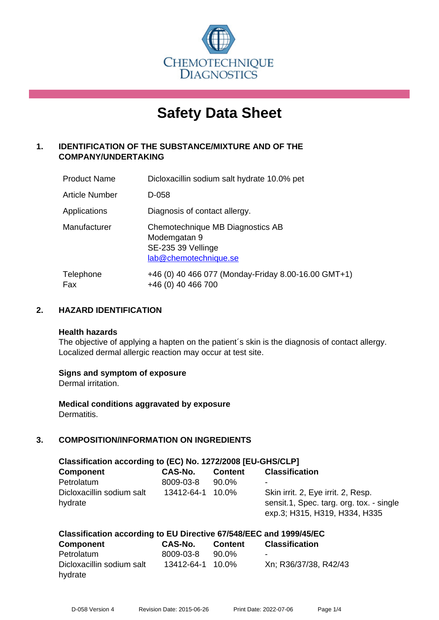

# **Safety Data Sheet**

# **1. IDENTIFICATION OF THE SUBSTANCE/MIXTURE AND OF THE COMPANY/UNDERTAKING**

| <b>Product Name</b> | Dicloxacillin sodium salt hydrate 10.0% pet                                                     |
|---------------------|-------------------------------------------------------------------------------------------------|
| Article Number      | D-058                                                                                           |
| Applications        | Diagnosis of contact allergy.                                                                   |
| Manufacturer        | Chemotechnique MB Diagnostics AB<br>Modemgatan 9<br>SE-235 39 Vellinge<br>lab@chemotechnique.se |
| Telephone<br>Fax    | +46 (0) 40 466 077 (Monday-Friday 8.00-16.00 GMT+1)<br>+46 (0) 40 466 700                       |

## **2. HAZARD IDENTIFICATION**

#### **Health hazards**

The objective of applying a hapten on the patient's skin is the diagnosis of contact allergy. Localized dermal allergic reaction may occur at test site.

#### **Signs and symptom of exposure**

Dermal irritation.

**Medical conditions aggravated by exposure** Dermatitis.

# **3. COMPOSITION/INFORMATION ON INGREDIENTS**

| Classification according to (EC) No. 1272/2008 [EU-GHS/CLP] |                |                |                                                                                                                 |  |
|-------------------------------------------------------------|----------------|----------------|-----------------------------------------------------------------------------------------------------------------|--|
| <b>Component</b>                                            | <b>CAS-No.</b> | <b>Content</b> | <b>Classification</b>                                                                                           |  |
| Petrolatum                                                  | 8009-03-8      | 90.0%          |                                                                                                                 |  |
| Dicloxacillin sodium salt<br>hydrate                        | 13412-64-1     | 10.0%          | Skin irrit. 2, Eye irrit. 2, Resp.<br>sensit.1, Spec. targ. org. tox. - single<br>exp.3; H315, H319, H334, H335 |  |

# **Classification according to EU Directive 67/548/EEC and 1999/45/EC**

| <b>Component</b>          | CAS-No.          | <b>Content</b> | <b>Classification</b> |
|---------------------------|------------------|----------------|-----------------------|
| Petrolatum                | 8009-03-8        | 90.0%          | $\blacksquare$        |
| Dicloxacillin sodium salt | 13412-64-1 10.0% |                | Xn; R36/37/38, R42/43 |
| hydrate                   |                  |                |                       |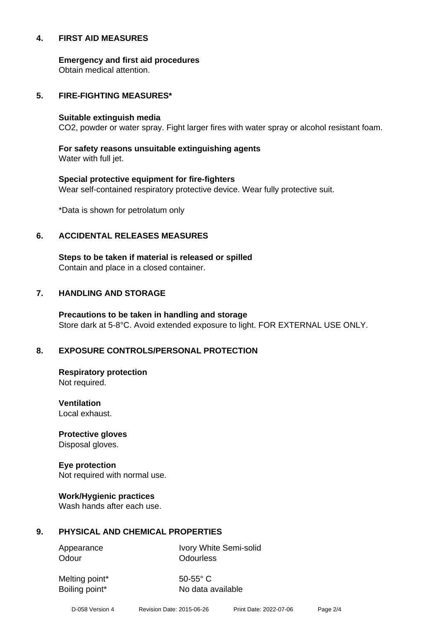#### **4. FIRST AID MEASURES**

**Emergency and first aid procedures**

Obtain medical attention.

#### **5. FIRE-FIGHTING MEASURES\***

#### **Suitable extinguish media**

CO2, powder or water spray. Fight larger fires with water spray or alcohol resistant foam.

# **For safety reasons unsuitable extinguishing agents**

Water with full jet.

# **Special protective equipment for fire-fighters** Wear self-contained respiratory protective device. Wear fully protective suit.

\*Data is shown for petrolatum only

## **6. ACCIDENTAL RELEASES MEASURES**

**Steps to be taken if material is released or spilled** Contain and place in a closed container.

# **7. HANDLING AND STORAGE**

**Precautions to be taken in handling and storage** Store dark at 5-8°C. Avoid extended exposure to light. FOR EXTERNAL USE ONLY.

# **8. EXPOSURE CONTROLS/PERSONAL PROTECTION**

**Respiratory protection** Not required.

**Ventilation** Local exhaust.

**Protective gloves** Disposal gloves.

# **Eye protection**

Not required with normal use.

#### **Work/Hygienic practices**

Wash hands after each use.

#### **9. PHYSICAL AND CHEMICAL PROPERTIES**

Odour **Odourless** 

Appearance Ivory White Semi-solid

Melting point\* 50-55° C

Boiling point\* No data available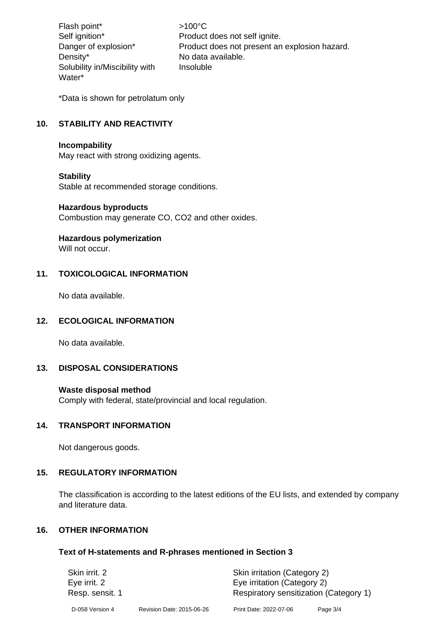Flash point\*  $>100^{\circ}$ C Density\* No data available. Solubility in/Miscibility with Water\*

Self ignition\* Product does not self ignite. Danger of explosion\* Product does not present an explosion hazard. Insoluble

\*Data is shown for petrolatum only

# **10. STABILITY AND REACTIVITY**

#### **Incompability**

May react with strong oxidizing agents.

#### **Stability**

Stable at recommended storage conditions.

#### **Hazardous byproducts**

Combustion may generate CO, CO2 and other oxides.

#### **Hazardous polymerization**

Will not occur.

## **11. TOXICOLOGICAL INFORMATION**

No data available.

#### **12. ECOLOGICAL INFORMATION**

No data available.

# **13. DISPOSAL CONSIDERATIONS**

#### **Waste disposal method**

Comply with federal, state/provincial and local regulation.

#### **14. TRANSPORT INFORMATION**

Not dangerous goods.

#### **15. REGULATORY INFORMATION**

The classification is according to the latest editions of the EU lists, and extended by company and literature data.

#### **16. OTHER INFORMATION**

#### **Text of H-statements and R-phrases mentioned in Section 3**

| Skin irrit. 2   |                           | Skin irritation (Category 2)           |            |
|-----------------|---------------------------|----------------------------------------|------------|
| Eye irrit. 2    |                           | Eye irritation (Category 2)            |            |
| Resp. sensit. 1 |                           | Respiratory sensitization (Category 1) |            |
| D-058 Version 4 | Revision Date: 2015-06-26 | Print Date: 2022-07-06                 | Page $3/4$ |